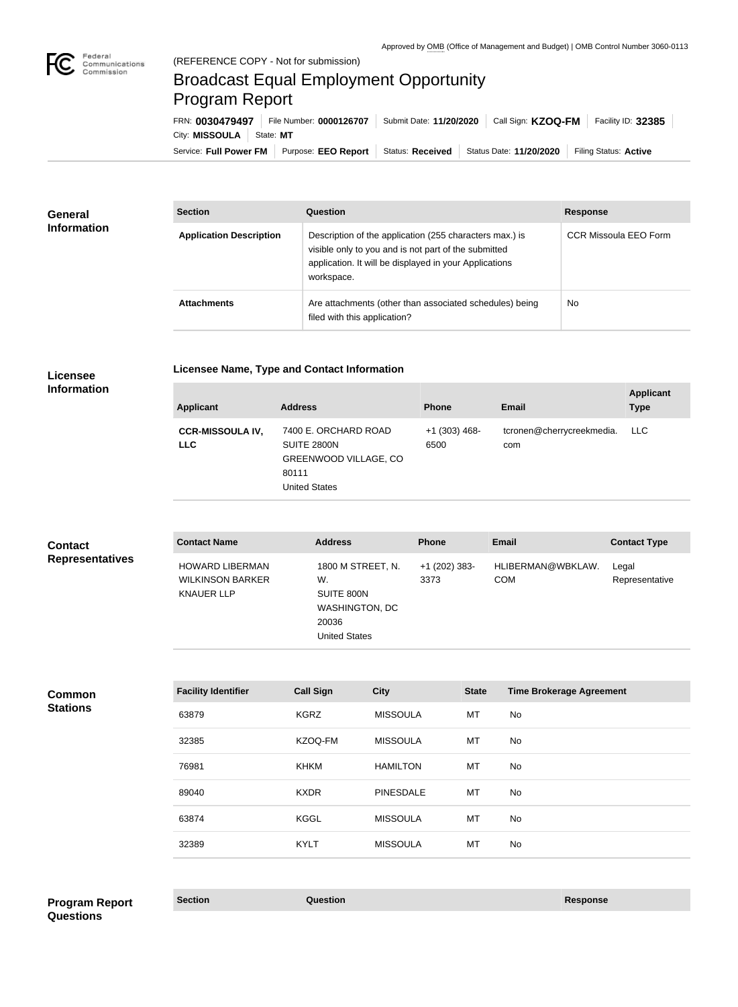

## Broadcast Equal Employment Opportunity Program Report

Service: Full Power FM Purpose: EEO Report | Status: Received | Status Date: 11/20/2020 | Filing Status: Active City: **MISSOULA** State: MT FRN: **0030479497** File Number: **0000126707** Submit Date: **11/20/2020** Call Sign: **KZOQ-FM** Facility ID: **32385**

| General<br><b>Information</b> | <b>Section</b>                 | Question                                                                                                                                                                                | <b>Response</b>       |
|-------------------------------|--------------------------------|-----------------------------------------------------------------------------------------------------------------------------------------------------------------------------------------|-----------------------|
|                               | <b>Application Description</b> | Description of the application (255 characters max.) is<br>visible only to you and is not part of the submitted<br>application. It will be displayed in your Applications<br>workspace. | CCR Missoula EEO Form |
|                               | <b>Attachments</b>             | Are attachments (other than associated schedules) being<br>filed with this application?                                                                                                 | No.                   |

**Licensee** 

## **Licensee Name, Type and Contact Information**

**Information**

| <b>Applicant</b>                      | <b>Address</b>                                                                                       | <b>Phone</b>            | <b>Email</b>                     | <b>Applicant</b><br><b>Type</b> |
|---------------------------------------|------------------------------------------------------------------------------------------------------|-------------------------|----------------------------------|---------------------------------|
| <b>CCR-MISSOULA IV,</b><br><b>LLC</b> | 7400 E. ORCHARD ROAD<br>SUITE 2800N<br><b>GREENWOOD VILLAGE, CO</b><br>80111<br><b>United States</b> | $+1$ (303) 468-<br>6500 | tcronen@cherrycreekmedia.<br>com | LLC                             |

| <b>Contact</b>         | <b>Contact Name</b>                                                    | <b>Address</b>                                                                                  | <b>Phone</b>            | <b>Email</b>                    | <b>Contact Type</b>     |
|------------------------|------------------------------------------------------------------------|-------------------------------------------------------------------------------------------------|-------------------------|---------------------------------|-------------------------|
| <b>Representatives</b> | <b>HOWARD LIBERMAN</b><br><b>WILKINSON BARKER</b><br><b>KNAUER LLP</b> | 1800 M STREET, N.<br>W.<br>SUITE 800N<br><b>WASHINGTON, DC</b><br>20036<br><b>United States</b> | $+1$ (202) 383-<br>3373 | HLIBERMAN@WBKLAW.<br><b>COM</b> | Legal<br>Representative |

**Common Stations**

| <b>Facility Identifier</b> | <b>Call Sign</b> | <b>City</b>      | <b>State</b> | <b>Time Brokerage Agreement</b> |
|----------------------------|------------------|------------------|--------------|---------------------------------|
| 63879                      | <b>KGRZ</b>      | <b>MISSOULA</b>  | МT           | No                              |
| 32385                      | KZOQ-FM          | <b>MISSOULA</b>  | MT           | No                              |
| 76981                      | <b>KHKM</b>      | <b>HAMILTON</b>  | МT           | No                              |
| 89040                      | <b>KXDR</b>      | <b>PINESDALE</b> | MT           | No                              |
| 63874                      | <b>KGGL</b>      | <b>MISSOULA</b>  | МT           | No                              |
| 32389                      | <b>KYLT</b>      | <b>MISSOULA</b>  | MT           | No                              |

**Section Question Response Program Report Questions**